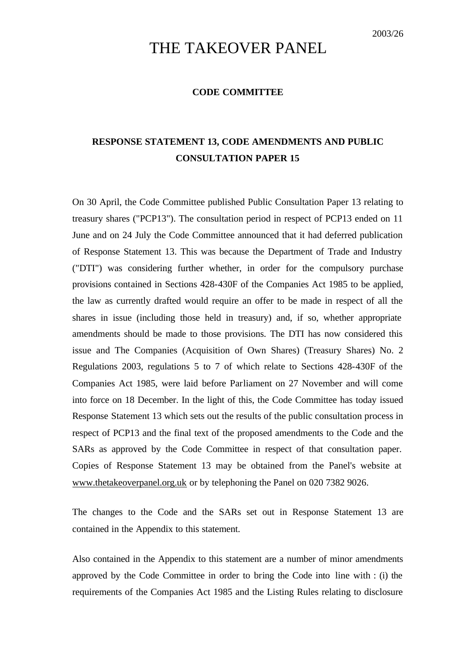# THE TAKEOVER PANEL

#### **CODE COMMITTEE**

## **RESPONSE STATEMENT 13, CODE AMENDMENTS AND PUBLIC CONSULTATION PAPER 15**

On 30 April, the Code Committee published Public Consultation Paper 13 relating to treasury shares ("PCP13"). The consultation period in respect of PCP13 ended on 11 June and on 24 July the Code Committee announced that it had deferred publication of Response Statement 13. This was because the Department of Trade and Industry ("DTI") was considering further whether, in order for the compulsory purchase provisions contained in Sections 428-430F of the Companies Act 1985 to be applied, the law as currently drafted would require an offer to be made in respect of all the shares in issue (including those held in treasury) and, if so, whether appropriate amendments should be made to those provisions. The DTI has now considered this issue and The Companies (Acquisition of Own Shares) (Treasury Shares) No. 2 Regulations 2003, regulations 5 to 7 of which relate to Sections 428-430F of the Companies Act 1985, were laid before Parliament on 27 November and will come into force on 18 December. In the light of this, the Code Committee has today issued Response Statement 13 which sets out the results of the public consultation process in respect of PCP13 and the final text of the proposed amendments to the Code and the SARs as approved by the Code Committee in respect of that consultation paper. Copies of Response Statement 13 may be obtained from the Panel's website at www.thetakeoverpanel.org.uk or by telephoning the Panel on 020 7382 9026.

The changes to the Code and the SARs set out in Response Statement 13 are contained in the Appendix to this statement.

Also contained in the Appendix to this statement are a number of minor amendments approved by the Code Committee in order to bring the Code into line with : (i) the requirements of the Companies Act 1985 and the Listing Rules relating to disclosure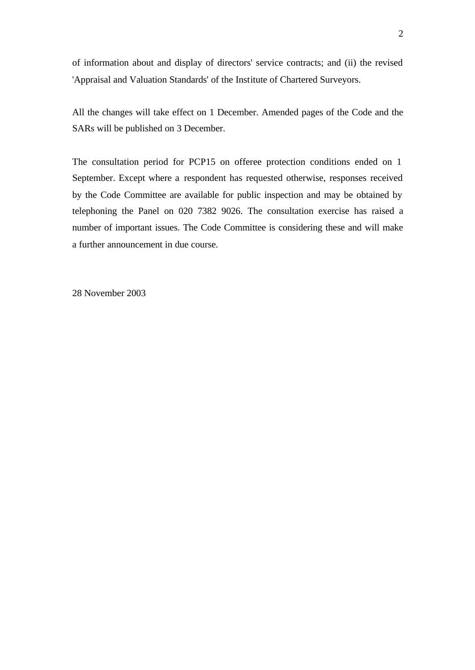of information about and display of directors' service contracts; and (ii) the revised 'Appraisal and Valuation Standards' of the Institute of Chartered Surveyors.

All the changes will take effect on 1 December. Amended pages of the Code and the SARs will be published on 3 December.

The consultation period for PCP15 on offeree protection conditions ended on 1 September. Except where a respondent has requested otherwise, responses received by the Code Committee are available for public inspection and may be obtained by telephoning the Panel on 020 7382 9026. The consultation exercise has raised a number of important issues. The Code Committee is considering these and will make a further announcement in due course.

28 November 2003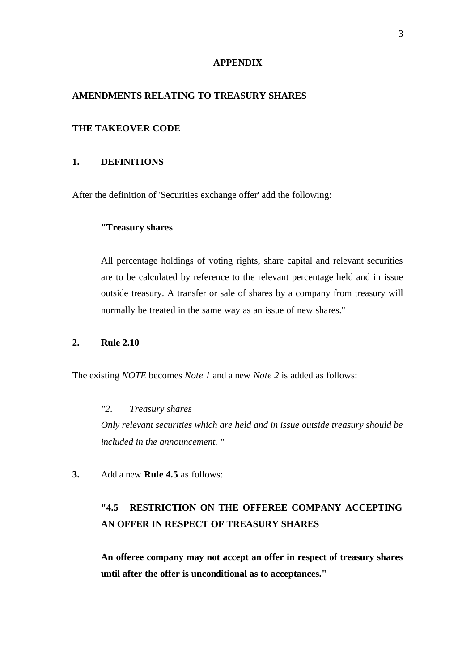#### **APPENDIX**

## **AMENDMENTS RELATING TO TREASURY SHARES**

### **THE TAKEOVER CODE**

## **1. DEFINITIONS**

After the definition of 'Securities exchange offer' add the following:

## **"Treasury shares**

All percentage holdings of voting rights, share capital and relevant securities are to be calculated by reference to the relevant percentage held and in issue outside treasury. A transfer or sale of shares by a company from treasury will normally be treated in the same way as an issue of new shares."

### **2. Rule 2.10**

The existing *NOTE* becomes *Note 1* and a new *Note 2* is added as follows:

# *"2. Treasury shares Only relevant securities which are held and in issue outside treasury should be included in the announcement. "*

**3.** Add a new **Rule 4.5** as follows:

## **"4.5 RESTRICTION ON THE OFFEREE COMPANY ACCEPTING AN OFFER IN RESPECT OF TREASURY SHARES**

**An offeree company may not accept an offer in respect of treasury shares until after the offer is unconditional as to acceptances."**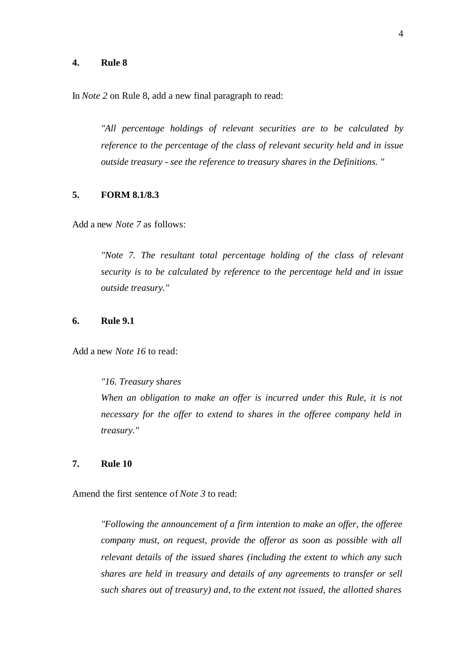#### **4. Rule 8**

In *Note 2* on Rule 8, add a new final paragraph to read:

*"All percentage holdings of relevant securities are to be calculated by reference to the percentage of the class of relevant security held and in issue outside treasury - see the reference to treasury shares in the Definitions. "*

#### **5. FORM 8.1/8.3**

Add a new *Note 7* as follows:

*"Note 7. The resultant total percentage holding of the class of relevant security is to be calculated by reference to the percentage held and in issue outside treasury."*

## **6. Rule 9.1**

Add a new *Note 16* to read:

*"16. Treasury shares When an obligation to make an offer is incurred under this Rule, it is not necessary for the offer to extend to shares in the offeree company held in treasury."*

#### **7. Rule 10**

Amend the first sentence *o*f *Note 3* to read:

*"Following the announcement of a firm intention to make an offer, the offeree company must, on request, provide the offeror as soon as possible with all relevant details of the issued shares (including the extent to which any such shares are held in treasury and details of any agreements to transfer or sell such shares out of treasury) and, to the extent not issued, the allotted shares*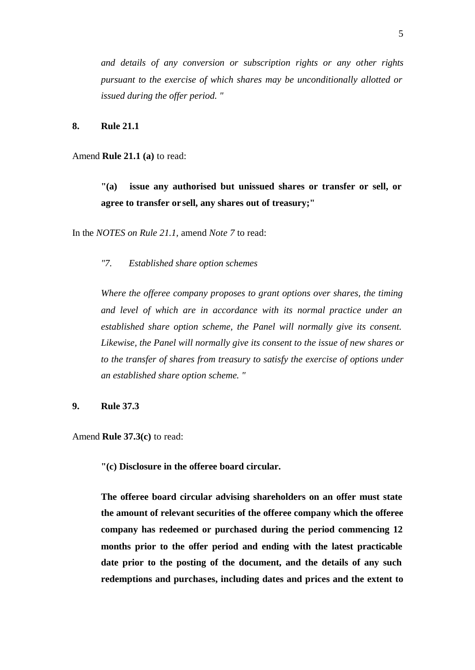*and details of any conversion or subscription rights or any other rights pursuant to the exercise of which shares may be unconditionally allotted or issued during the offer period. "*

**8. Rule 21.1**

Amend **Rule 21.1 (a)** to read:

**"(a) issue any authorised but unissued shares or transfer or sell, or agree to transfer or sell, any shares out of treasury;"**

In the *NOTES on Rule 21.1,* amend *Note 7* to read:

*"7. Established share option schemes*

*Where the offeree company proposes to grant options over shares, the timing and level of which are in accordance with its normal practice under an established share option scheme, the Panel will normally give its consent. Likewise, the Panel will normally give its consent to the issue of new shares or to the transfer of shares from treasury to satisfy the exercise of options under an established share option scheme. "*

**9. Rule 37.3**

Amend **Rule 37.3(c)** to read:

**"(c) Disclosure in the offeree board circular.**

**The offeree board circular advising shareholders on an offer must state the amount of relevant securities of the offeree company which the offeree company has redeemed or purchased during the period commencing 12 months prior to the offer period and ending with the latest practicable date prior to the posting of the document, and the details of any such redemptions and purchases, including dates and prices and the extent to**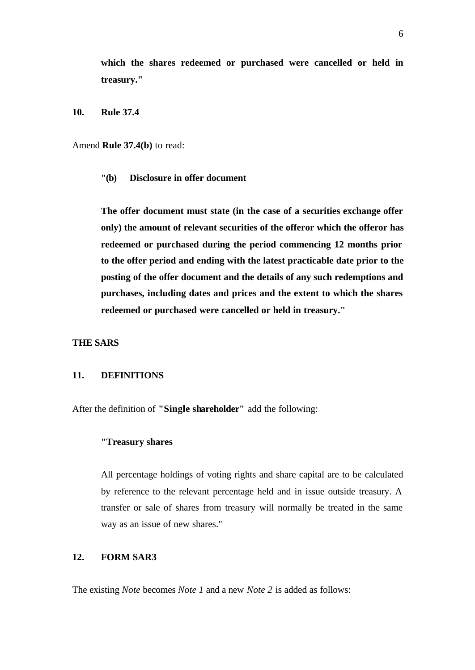**which the shares redeemed or purchased were cancelled or held in treasury."**

**10. Rule 37.4**

Amend **Rule 37.4(b)** to read:

**"(b) Disclosure in offer document**

**The offer document must state (in the case of a securities exchange offer only) the amount of relevant securities of the offeror which the offeror has redeemed or purchased during the period commencing 12 months prior to the offer period and ending with the latest practicable date prior to the posting of the offer document and the details of any such redemptions and purchases, including dates and prices and the extent to which the shares redeemed or purchased were cancelled or held in treasury."**

#### **THE SARS**

#### **11. DEFINITIONS**

After the definition of **"Single shareholder"** add the following:

### **"Treasury shares**

All percentage holdings of voting rights and share capital are to be calculated by reference to the relevant percentage held and in issue outside treasury. A transfer or sale of shares from treasury will normally be treated in the same way as an issue of new shares."

## **12. FORM SAR3**

The existing *Note* becomes *Note 1* and a new *Note 2* is added as follows: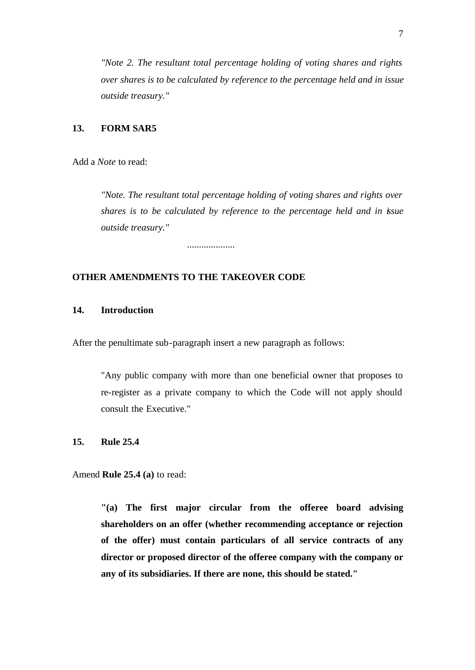*"Note 2. The resultant total percentage holding of voting shares and rights over shares is to be calculated by reference to the percentage held and in issue outside treasury."*

### **13. FORM SAR5**

Add a *Note* to read:

*"Note. The resultant total percentage holding of voting shares and rights over shares is to be calculated by reference to the percentage held and in issue outside treasury."*

....................

## **OTHER AMENDMENTS TO THE TAKEOVER CODE**

## **14. Introduction**

After the penultimate sub-paragraph insert a new paragraph as follows:

"Any public company with more than one beneficial owner that proposes to re-register as a private company to which the Code will not apply should consult the Executive."

### **15. Rule 25.4**

Amend **Rule 25.4 (a)** to read:

**"(a) The first major circular from the offeree board advising shareholders on an offer (whether recommending acceptance or rejection of the offer) must contain particulars of all service contracts of any director or proposed director of the offeree company with the company or any of its subsidiaries. If there are none, this should be stated."**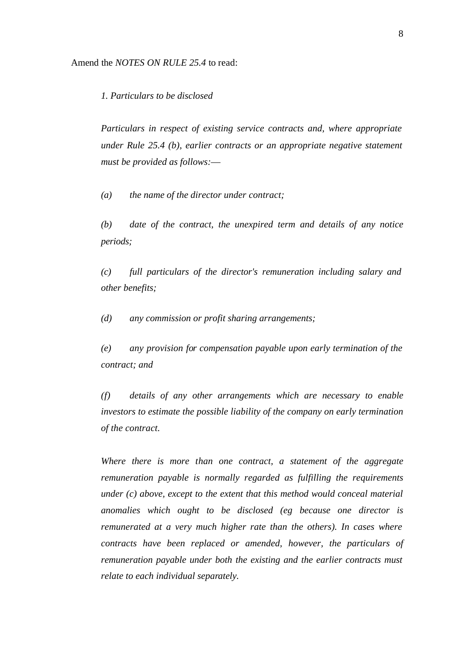*1. Particulars to be disclosed*

*Particulars in respect of existing service contracts and, where appropriate under Rule 25.4 (b), earlier contracts or an appropriate negative statement must be provided as follows:*—

*(a) the name of the director under contract;*

*(b) date of the contract, the unexpired term and details of any notice periods;*

*(c) full particulars of the director's remuneration including salary and other benefits;*

*(d) any commission or profit sharing arrangements;*

*(e) any provision for compensation payable upon early termination of the contract; and*

*(f) details of any other arrangements which are necessary to enable investors to estimate the possible liability of the company on early termination of the contract.*

*Where there is more than one contract, a statement of the aggregate remuneration payable is normally regarded as fulfilling the requirements under (c) above, except to the extent that this method would conceal material anomalies which ought to be disclosed (eg because one director is remunerated at a very much higher rate than the others). In cases where contracts have been replaced or amended, however, the particulars of remuneration payable under both the existing and the earlier contracts must relate to each individual separately.*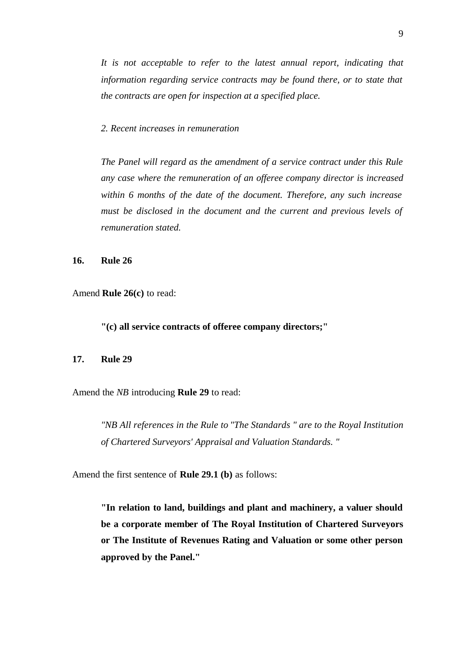*It is not acceptable to refer to the latest annual report, indicating that information regarding service contracts may be found there, or to state that the contracts are open for inspection at a specified place.*

*2. Recent increases in remuneration*

*The Panel will regard as the amendment of a service contract under this Rule any case where the remuneration of an offeree company director is increased within 6 months of the date of the document. Therefore, any such increase must be disclosed in the document and the current and previous levels of remuneration stated.*

**16. Rule 26**

Amend **Rule 26(c)** to read:

**"(c) all service contracts of offeree company directors;"**

#### **17. Rule 29**

Amend the *NB* introducing **Rule 29** to read:

*"NB All references in the Rule to "The Standards " are to the Royal Institution of Chartered Surveyors' Appraisal and Valuation Standards. "*

Amend the first sentence of **Rule 29.1 (b)** as follows:

**"In relation to land, buildings and plant and machinery, a valuer should be a corporate member of The Royal Institution of Chartered Surveyors or The Institute of Revenues Rating and Valuation or some other person approved by the Panel."**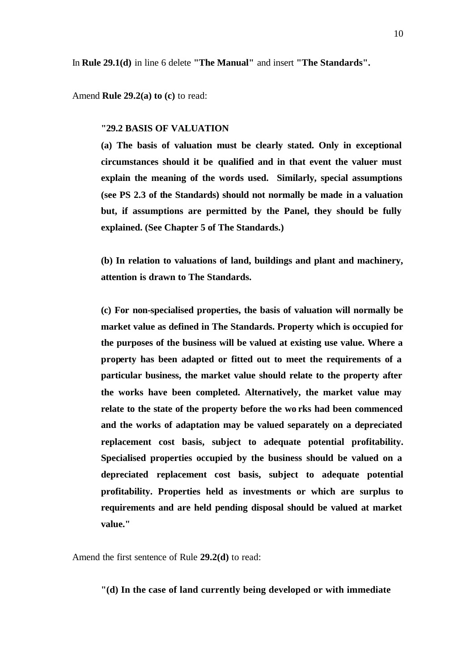In **Rule 29.1(d)** in line 6 delete **"The Manual"** and insert **"The Standards".**

Amend **Rule 29.2(a) to (c)** to read:

#### **"29.2 BASIS OF VALUATION**

**(a) The basis of valuation must be clearly stated. Only in exceptional circumstances should it be qualified and in that event the valuer must explain the meaning of the words used. Similarly, special assumptions (see PS 2.3 of the Standards) should not normally be made in a valuation but, if assumptions are permitted by the Panel, they should be fully explained. (See Chapter 5 of The Standards.)**

**(b) In relation to valuations of land, buildings and plant and machinery, attention is drawn to The Standards.**

**(c) For non-specialised properties, the basis of valuation will normally be market value as defined in The Standards. Property which is occupied for the purposes of the business will be valued at existing use value. Where a property has been adapted or fitted out to meet the requirements of a particular business, the market value should relate to the property after the works have been completed. Alternatively, the market value may relate to the state of the property before the wo rks had been commenced and the works of adaptation may be valued separately on a depreciated replacement cost basis, subject to adequate potential profitability. Specialised properties occupied by the business should be valued on a depreciated replacement cost basis, subject to adequate potential profitability. Properties held as investments or which are surplus to requirements and are held pending disposal should be valued at market value."**

Amend the first sentence of Rule **29.2(d)** to read:

**"(d) In the case of land currently being developed or with immediate**